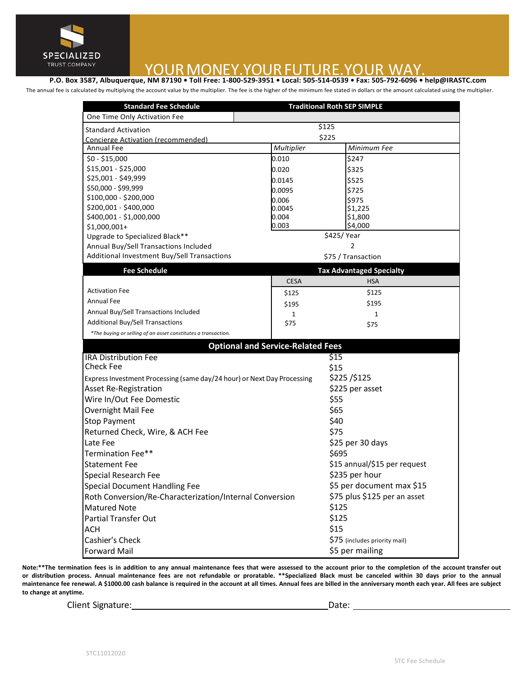

# TRUST COMPANY<br>P.O. Box 3587, Albuquerque, NM 87190 • Toll Free: 1-800-529-3951 • Local: 505-514-0539 • Fax: 505-792-6096 • help@IRASTC.com

The annual fee is calculated by multiplying the account value by the multiplier. The fee is the higher of the minimum fee stated in dollars or the amount calculated using the multiplier.

| <b>Standard Fee Schedule</b>                                            |                                 | <b>Traditional Roth SEP SIMPLE</b> |  |
|-------------------------------------------------------------------------|---------------------------------|------------------------------------|--|
| One Time Only Activation Fee                                            |                                 | \$125                              |  |
| <b>Standard Activation</b>                                              | \$225                           |                                    |  |
| Concierge Activation (recommended)<br><b>Annual Fee</b>                 | Multiplier<br>Minimum Fee       |                                    |  |
| $$0 - $15,000$                                                          | 0.010                           | \$247                              |  |
| \$15,001 - \$25,000                                                     |                                 |                                    |  |
| \$25,001 - \$49,999                                                     | 0.020                           | \$325                              |  |
| \$50,000 - \$99,999                                                     | 0.0145                          | \$525                              |  |
| \$100,000 - \$200,000                                                   | 0.0095                          | \$725<br>\$975                     |  |
| \$200,001 - \$400,000                                                   | 0.006<br>0.0045                 | \$1,225                            |  |
| \$400,001 - \$1,000,000                                                 | 0.004                           | \$1,800                            |  |
| $$1,000,001+$                                                           | 0.003                           | \$4,000                            |  |
| Upgrade to Specialized Black**                                          | \$425/Year                      |                                    |  |
| Annual Buy/Sell Transactions Included                                   | $\mathcal{P}$                   |                                    |  |
| Additional Investment Buy/Sell Transactions                             | \$75 / Transaction              |                                    |  |
| <b>Fee Schedule</b>                                                     | <b>Tax Advantaged Specialty</b> |                                    |  |
|                                                                         | <b>CESA</b>                     | <b>HSA</b>                         |  |
| <b>Activation Fee</b>                                                   | \$125                           | \$125                              |  |
| <b>Annual Fee</b>                                                       | \$195                           | \$195                              |  |
| Annual Buy/Sell Transactions Included                                   | $\mathbf{1}$                    | $\mathbf{1}$                       |  |
| Additional Buy/Sell Transactions                                        | \$75                            | \$75                               |  |
| *The buying or selling of an asset constitutes a transaction.           |                                 |                                    |  |
| <b>Optional and Service-Related Fees</b>                                |                                 |                                    |  |
| \$15<br><b>IRA Distribution Fee</b>                                     |                                 |                                    |  |
| <b>Check Fee</b>                                                        |                                 | \$15                               |  |
| Express Investment Processing (same day/24 hour) or Next Day Processing |                                 | \$225/\$125                        |  |
| <b>Asset Re-Registration</b>                                            |                                 | \$225 per asset                    |  |
| Wire In/Out Fee Domestic                                                |                                 | \$55                               |  |
| Overnight Mail Fee                                                      |                                 | \$65                               |  |
| <b>Stop Payment</b>                                                     |                                 | \$40                               |  |
| Returned Check, Wire, & ACH Fee                                         |                                 | \$75                               |  |
| Late Fee                                                                |                                 | \$25 per 30 days                   |  |
| Termination Fee**                                                       |                                 | \$695                              |  |
| <b>Statement Fee</b>                                                    |                                 | \$15 annual/\$15 per request       |  |
|                                                                         |                                 | \$235 per hour                     |  |
| Special Research Fee                                                    |                                 | \$5 per document max \$15          |  |
| Special Document Handling Fee                                           |                                 |                                    |  |
| Roth Conversion/Re-Characterization/Internal Conversion                 |                                 | \$75 plus \$125 per an asset       |  |
| <b>Matured Note</b>                                                     |                                 | \$125                              |  |
| <b>Partial Transfer Out</b>                                             |                                 | \$125                              |  |
| ACH                                                                     |                                 | \$15                               |  |
| Cashier's Check                                                         |                                 | \$75 (includes priority mail)      |  |
| <b>Forward Mail</b>                                                     |                                 | \$5 per mailing                    |  |

Note:\*\*The termination fees is in addition to any annual maintenance fees that were assessed to the account prior to the completion of the account transfer out or distribution process. Annual maintenance fees are not refundable or proratable. \*\*Specialized Black must be canceled within 30 days prior to the annual maintenance fee renewal. A \$1000.00 cash balance is required in the account at all times. Annual fees are billed in the anniversary month each year. All fees are subject to change at anytime.

Client Signature:

 $Date:$